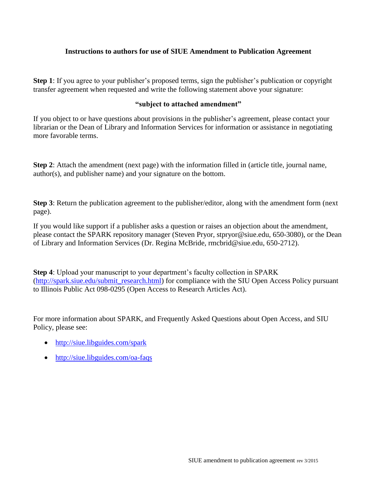## **Instructions to authors for use of SIUE Amendment to Publication Agreement**

**Step 1**: If you agree to your publisher's proposed terms, sign the publisher's publication or copyright transfer agreement when requested and write the following statement above your signature:

## **"subject to attached amendment"**

If you object to or have questions about provisions in the publisher's agreement, please contact your librarian or the Dean of Library and Information Services for information or assistance in negotiating more favorable terms.

**Step 2**: Attach the amendment (next page) with the information filled in (article title, journal name, author(s), and publisher name) and your signature on the bottom.

**Step 3**: Return the publication agreement to the publisher/editor, along with the amendment form (next page).

If you would like support if a publisher asks a question or raises an objection about the amendment, please contact the SPARK repository manager (Steven Pryor, stpryor@siue.edu, 650-3080), or the Dean of Library and Information Services (Dr. Regina McBride, rmcbrid@siue.edu, 650-2712).

**Step 4**: Upload your manuscript to your department's faculty collection in SPARK [\(http://spark.siue.edu/submit\\_research.html\)](http://spark.siue.edu/submit_research.html) for compliance with the SIU Open Access Policy pursuant to Illinois Public Act 098-0295 (Open Access to Research Articles Act).

For more information about SPARK, and Frequently Asked Questions about Open Access, and SIU Policy, please see:

- <http://siue.libguides.com/spark>
- <http://siue.libguides.com/oa-faqs>